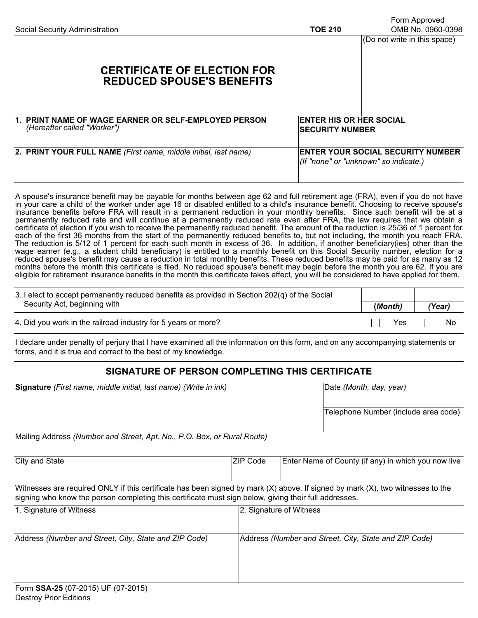| Social Security Administration                                                      | <b>TOE 210</b>                                                                    | Form Approved<br>OMB No. 0960-0398<br>(Do not write in this space) |
|-------------------------------------------------------------------------------------|-----------------------------------------------------------------------------------|--------------------------------------------------------------------|
| <b>CERTIFICATE OF ELECTION FOR</b><br><b>REDUCED SPOUSE'S BENEFITS</b>              |                                                                                   |                                                                    |
| 1. PRINT NAME OF WAGE EARNER OR SELF-EMPLOYED PERSON<br>(Hereafter called "Worker") | <b>ENTER HIS OR HER SOCIAL</b><br><b>SECURITY NUMBER</b>                          |                                                                    |
| 2. PRINT YOUR FULL NAME (First name, middle initial, last name)                     | <b>ENTER YOUR SOCIAL SECURITY NUMBER</b><br>(If "none" or "unknown" so indicate.) |                                                                    |

A spouse's insurance benefit may be payable for months between age 62 and full retirement age (FRA), even if you do not have in your care a child of the worker under age 16 or disabled entitled to a child's insurance benefit. Choosing to receive spouse's insurance benefits before FRA will result in a permanent reduction in your monthly benefits. Since such benefit will be at a permanently reduced rate and will continue at a permanently reduced rate even after FRA, the law requires that we obtain a certificate of election if you wish to receive the permanently reduced benefit. The amount of the reduction is 25/36 of 1 percent for each of the first 36 months from the start of the permanently reduced benefits to, but not including, the month you reach FRA. The reduction is 5/12 of 1 percent for each such month in excess of 36. In addition, if another beneficiary(ies) other than the wage earner (e.g., a student child beneficiary) is entitled to a monthly benefit on this Social Security number, election for a reduced spouse's benefit may cause a reduction in total monthly benefits. These reduced benefits may be paid for as many as 12 months before the month this certificate is filed. No reduced spouse's benefit may begin before the month you are 62. If you are eligible for retirement insurance benefits in the month this certificate takes effect, you will be considered to have applied for them.

| 3. I elect to accept permanently reduced benefits as provided in Section 202(q) of the Social |         |        |
|-----------------------------------------------------------------------------------------------|---------|--------|
| Security Act, beginning with                                                                  | (Month) | (Year) |
| 4. Did you work in the railroad industry for 5 years or more?                                 | Yes     | No.    |

I declare under penalty of perjury that I have examined all the information on this form, and on any accompanying statements or forms, and it is true and correct to the best of my knowledge.

## **SIGNATURE OF PERSON COMPLETING THIS CERTIFICATE**

| Signature (First name, middle initial, last name) (Write in ink)                                                                                                                                                                        |          | Date (Month, day, year)                               |  |  |
|-----------------------------------------------------------------------------------------------------------------------------------------------------------------------------------------------------------------------------------------|----------|-------------------------------------------------------|--|--|
|                                                                                                                                                                                                                                         |          | Telephone Number (include area code)                  |  |  |
| Mailing Address (Number and Street, Apt. No., P.O. Box, or Rural Route)                                                                                                                                                                 |          |                                                       |  |  |
| City and State                                                                                                                                                                                                                          | ZIP Code | Enter Name of County (if any) in which you now live   |  |  |
| Witnesses are required ONLY if this certificate has been signed by mark (X) above. If signed by mark (X), two witnesses to the<br>signing who know the person completing this certificate must sign below, giving their full addresses. |          |                                                       |  |  |
| 1. Signature of Witness                                                                                                                                                                                                                 |          | 2. Signature of Witness                               |  |  |
| Address (Number and Street, City, State and ZIP Code)                                                                                                                                                                                   |          | Address (Number and Street, City, State and ZIP Code) |  |  |
| $Form$ SSA-25 (07-2015) LIF (07-2015)                                                                                                                                                                                                   |          |                                                       |  |  |